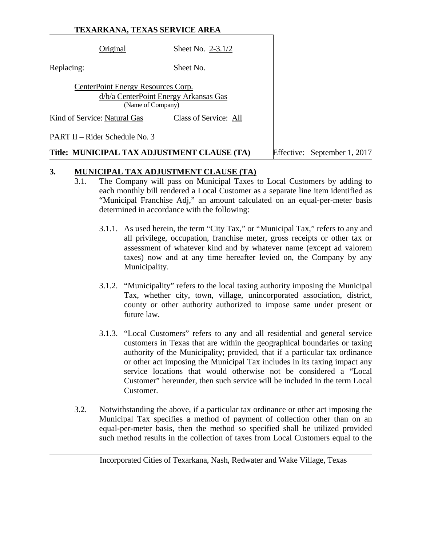| TEXARKANA, TEXAS SERVICE AREA               |                                                            |  |
|---------------------------------------------|------------------------------------------------------------|--|
| Original                                    | Sheet No. $2-3.1/2$                                        |  |
| Replacing:                                  | Sheet No.                                                  |  |
| CenterPoint Energy Resources Corp.          | d/b/a CenterPoint Energy Arkansas Gas<br>(Name of Company) |  |
| Kind of Service: Natural Gas                | Class of Service: All                                      |  |
| PART II – Rider Schedule No. 3              |                                                            |  |
| Title: MUNICIPAL TAX ADJUSTMENT CLAUSE (TA) | Effective: September 1, 2017                               |  |

## **3. MUNICIPAL TAX ADJUSTMENT CLAUSE (TA)**

- 3.1. The Company will pass on Municipal Taxes to Local Customers by adding to each monthly bill rendered a Local Customer as a separate line item identified as "Municipal Franchise Adj," an amount calculated on an equal-per-meter basis determined in accordance with the following:
	- 3.1.1. As used herein, the term "City Tax," or "Municipal Tax," refers to any and all privilege, occupation, franchise meter, gross receipts or other tax or assessment of whatever kind and by whatever name (except ad valorem taxes) now and at any time hereafter levied on, the Company by any Municipality.
	- 3.1.2. "Municipality" refers to the local taxing authority imposing the Municipal Tax, whether city, town, village, unincorporated association, district, county or other authority authorized to impose same under present or future law.
	- 3.1.3. "Local Customers" refers to any and all residential and general service customers in Texas that are within the geographical boundaries or taxing authority of the Municipality; provided, that if a particular tax ordinance or other act imposing the Municipal Tax includes in its taxing impact any service locations that would otherwise not be considered a "Local Customer" hereunder, then such service will be included in the term Local Customer.
- 3.2. Notwithstanding the above, if a particular tax ordinance or other act imposing the Municipal Tax specifies a method of payment of collection other than on an equal-per-meter basis, then the method so specified shall be utilized provided such method results in the collection of taxes from Local Customers equal to the